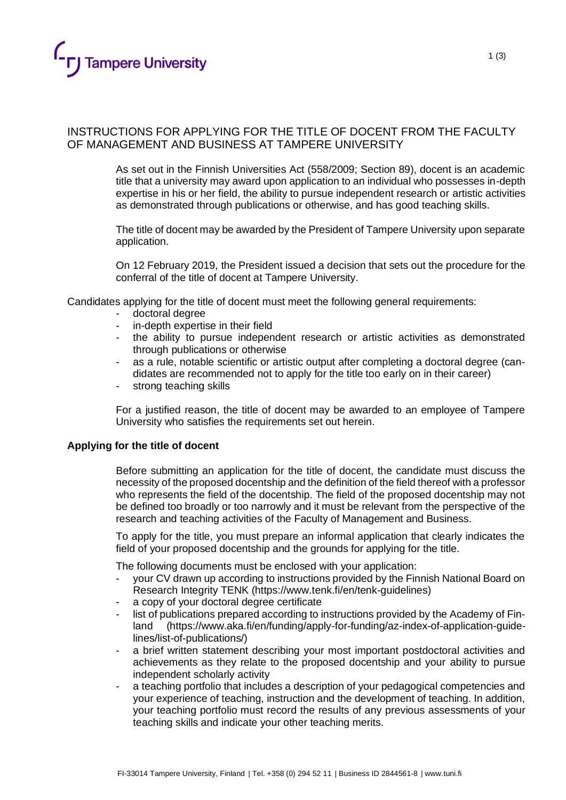

# INSTRUCTIONS FOR APPLYING FOR THE TITLE OF DOCENT FROM THE FACULTY OF MANAGEMENT AND BUSINESS AT TAMPERE UNIVERSITY

As set out in the Finnish Universities Act (558/2009; Section 89), docent is an academic title that a university may award upon application to an individual who possesses in-depth expertise in his or her field, the ability to pursue independent research or artistic activities as demonstrated through publications or otherwise, and has good teaching skills.

The title of docent may be awarded by the President of Tampere University upon separate application.

On 12 February 2019, the President issued a decision that sets out the procedure for the conferral of the title of docent at Tampere University.

Candidates applying for the title of docent must meet the following general requirements:

- doctoral degree
- in-depth expertise in their field
- the ability to pursue independent research or artistic activities as demonstrated through publications or otherwise
- as a rule, notable scientific or artistic output after completing a doctoral degree (candidates are recommended not to apply for the title too early on in their career)
- strong teaching skills

For a justified reason, the title of docent may be awarded to an employee of Tampere University who satisfies the requirements set out herein.

#### **Applying for the title of docent**

• Before submitting an application for the title of docent, the candidate must discuss the necessity of the proposed docentship and the definition of the field thereof with a professor who represents the field of the docentship. The field of the proposed docentship may not be defined too broadly or too narrowly and it must be relevant from the perspective of the research and teaching activities of the Faculty of Management and Business.

To apply for the title, you must prepare an informal application that clearly indicates the field of your proposed docentship and the grounds for applying for the title.

The following documents must be enclosed with your application:

- your CV drawn up according to instructions provided by the Finnish National Board on Research Integrity TENK (https://www.tenk.fi/en/tenk-guidelines)
- a copy of your doctoral degree certificate
- list of publications prepared according to instructions provided by the Academy of Finland (https://www.aka.fi/en/funding/apply-for-funding/az-index-of-application-guidelines/list-of-publications/)
- a brief written statement describing your most important postdoctoral activities and achievements as they relate to the proposed docentship and your ability to pursue independent scholarly activity
- a teaching portfolio that includes a description of your pedagogical competencies and your experience of teaching, instruction and the development of teaching. In addition, your teaching portfolio must record the results of any previous assessments of your teaching skills and indicate your other teaching merits.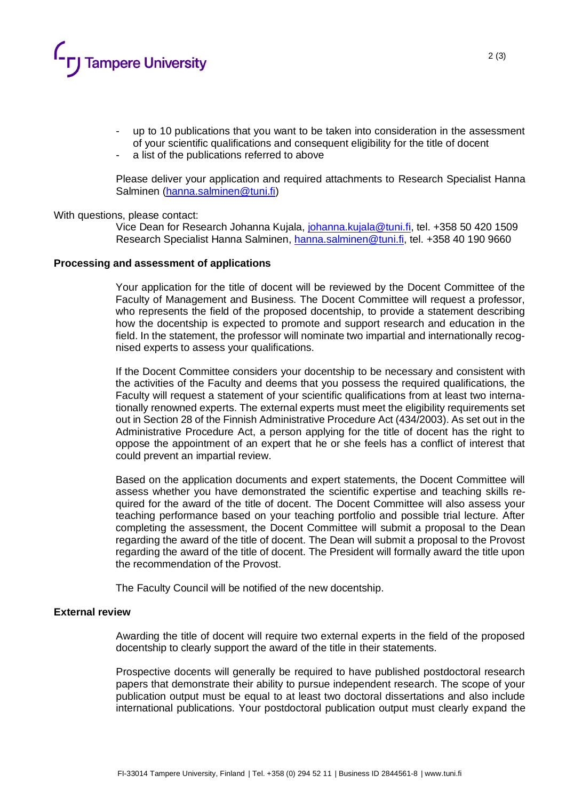

- up to 10 publications that you want to be taken into consideration in the assessment of your scientific qualifications and consequent eligibility for the title of docent
- a list of the publications referred to above

Please deliver your application and required attachments to Research Specialist Hanna Salminen [\(hanna.salminen@tuni.fi\)](mailto:hanna.salminen@tuni.fi)

#### With questions, please contact:

Vice Dean for Research Johanna Kujala, [johanna.kujala@tuni.fi,](mailto:johanna.kujala@tuni.fi) tel. +358 50 420 1509 Research Specialist Hanna Salminen, [hanna.salminen@tuni.fi,](mailto:hanna.salminen@tuni.fi) tel. +358 40 190 9660

#### **Processing and assessment of applications**

Your application for the title of docent will be reviewed by the Docent Committee of the Faculty of Management and Business. The Docent Committee will request a professor, who represents the field of the proposed docentship, to provide a statement describing how the docentship is expected to promote and support research and education in the field. In the statement, the professor will nominate two impartial and internationally recognised experts to assess your qualifications.

If the Docent Committee considers your docentship to be necessary and consistent with the activities of the Faculty and deems that you possess the required qualifications, the Faculty will request a statement of your scientific qualifications from at least two internationally renowned experts. The external experts must meet the eligibility requirements set out in Section 28 of the Finnish Administrative Procedure Act (434/2003). As set out in the Administrative Procedure Act, a person applying for the title of docent has the right to oppose the appointment of an expert that he or she feels has a conflict of interest that could prevent an impartial review.

Based on the application documents and expert statements, the Docent Committee will assess whether you have demonstrated the scientific expertise and teaching skills required for the award of the title of docent. The Docent Committee will also assess your teaching performance based on your teaching portfolio and possible trial lecture. After completing the assessment, the Docent Committee will submit a proposal to the Dean regarding the award of the title of docent. The Dean will submit a proposal to the Provost regarding the award of the title of docent. The President will formally award the title upon the recommendation of the Provost.

The Faculty Council will be notified of the new docentship.

## **External review**

Awarding the title of docent will require two external experts in the field of the proposed docentship to clearly support the award of the title in their statements.

Prospective docents will generally be required to have published postdoctoral research papers that demonstrate their ability to pursue independent research. The scope of your publication output must be equal to at least two doctoral dissertations and also include international publications. Your postdoctoral publication output must clearly expand the